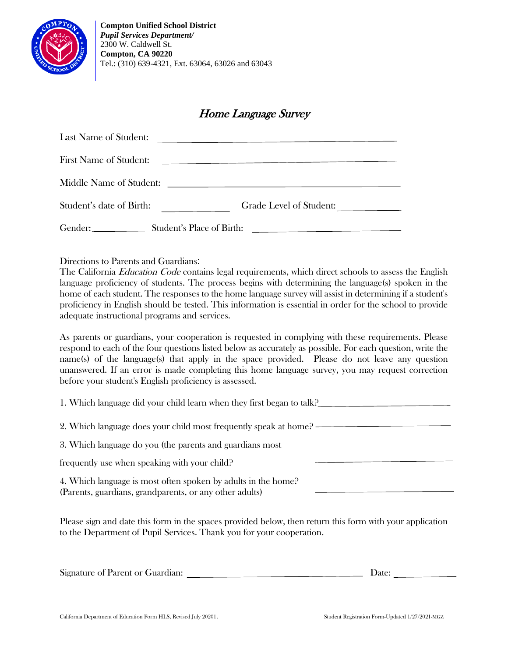

## Home Language Survey

| Last Name of Student:                |                                                                                                                 |
|--------------------------------------|-----------------------------------------------------------------------------------------------------------------|
| <b>First Name of Student:</b>        | the contract of the contract of the contract of the contract of the contract of the contract of the contract of |
| Middle Name of Student:              | and the control of the control of the control of the control of the control of the control of                   |
| Student's date of Birth:             | Grade Level of Student:                                                                                         |
| Gender:<br>Student's Place of Birth: | the contract of the contract of the contract of the contract of the contract of                                 |

Directions to Parents and Guardians:

The California *Education Code* contains legal requirements, which direct schools to assess the English language proficiency of students. The process begins with determining the language(s) spoken in the home of each student. The responses to the home language survey will assist in determining if a student's proficiency in English should be tested. This information is essential in order for the school to provide adequate instructional programs and services.

As parents or guardians, your cooperation is requested in complying with these requirements. Please respond to each of the four questions listed below as accurately as possible. For each question, write the name(s) of the language(s) that apply in the space provided. Please do not leave any question unanswered. If an error is made completing this home language survey, you may request correction before your student's English proficiency is assessed.

1. Which language did your child learn when they first began to talk? 2. Which language does your child most frequently speak at home?

3. Which language do you (the parents and guardians most

frequently use when speaking with your child?

4. Which language is most often spoken by adults in the home? (Parents, guardians, grandparents, or any other adults)

Please sign and date this form in the spaces provided below, then return this form with your application to the Department of Pupil Services. Thank you for your cooperation.

| Signature of Parent or Guardian: |  |  |
|----------------------------------|--|--|
|----------------------------------|--|--|